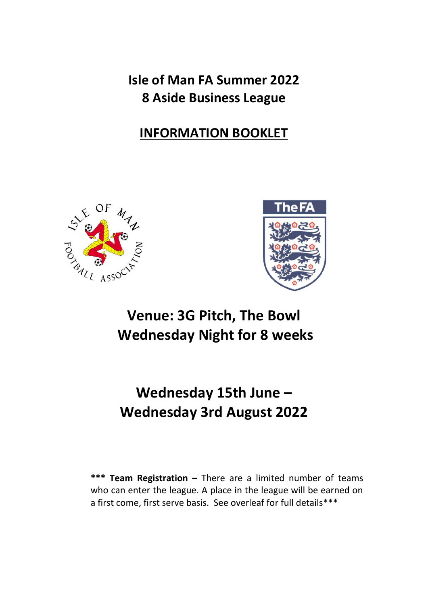**Isle of Man FA Summer 2022 8 Aside Business League**

# **INFORMATION BOOKLET**





# **Venue: 3G Pitch, The Bowl Wednesday Night for 8 weeks**

# **Wednesday 15th June – Wednesday 3rd August 2022**

**\*\*\* Team Registration –** There are a limited number of teams who can enter the league. A place in the league will be earned on a first come, first serve basis. See overleaf for full details\*\*\*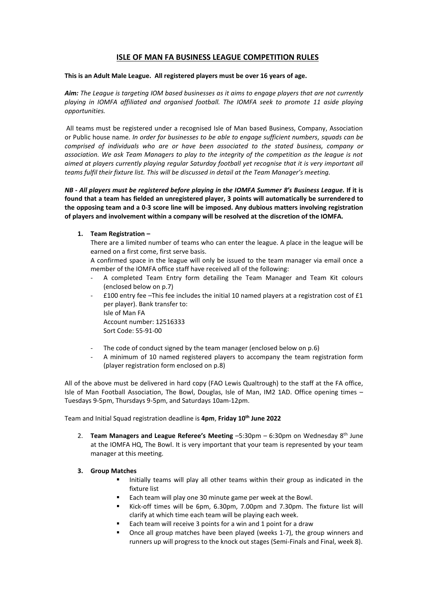# **ISLE OF MAN FA BUSINESS LEAGUE COMPETITION RULES**

#### **This is an Adult Male League. All registered players must be over 16 years of age.**

*Aim: The League is targeting IOM based businesses as it aims to engage players that are not currently playing in IOMFA affiliated and organised football. The IOMFA seek to promote 11 aside playing opportunities.*

All teams must be registered under a recognised Isle of Man based Business, Company, Association or Public house name. *In order for businesses to be able to engage sufficient numbers, squads can be comprised of individuals who are or have been associated to the stated business, company or association. We ask Team Managers to play to the integrity of the competition as the league is not aimed at players currently playing regular Saturday football yet recognise that it is very important all teams fulfil their fixture list. This will be discussed in detail at the Team Manager's meeting.*

*NB - All players must be registered before playing in the IOMFA Summer 8's Business League.* **If it is found that a team has fielded an unregistered player, 3 points will automatically be surrendered to the opposing team and a 0-3 score line will be imposed. Any dubious matters involving registration of players and involvement within a company will be resolved at the discretion of the IOMFA.**

#### **1. Team Registration –**

There are a limited number of teams who can enter the league. A place in the league will be earned on a first come, first serve basis.

A confirmed space in the league will only be issued to the team manager via email once a member of the IOMFA office staff have received all of the following:

- A completed Team Entry form detailing the Team Manager and Team Kit colours (enclosed below on p.7)
- £100 entry fee –This fee includes the initial 10 named players at a registration cost of £1 per player). Bank transfer to: Isle of Man FA Account number: 12516333 Sort Code: 55-91-00
- The code of conduct signed by the team manager (enclosed below on p.6)
- A minimum of 10 named registered players to accompany the team registration form (player registration form enclosed on p.8)

All of the above must be delivered in hard copy (FAO Lewis Qualtrough) to the staff at the FA office, Isle of Man Football Association, The Bowl, Douglas, Isle of Man, IM2 1AD. Office opening times – Tuesdays 9-5pm, Thursdays 9-5pm, and Saturdays 10am-12pm.

Team and Initial Squad registration deadline is **4pm**, **Friday 10th June 2022**

2. **Team Managers and League Referee's Meeting** –5:30pm – 6:30pm on Wednesday 8th June at the IOMFA HQ, The Bowl. It is very important that your team is represented by your team manager at this meeting.

#### **3. Group Matches**

- Initially teams will play all other teams within their group as indicated in the fixture list
- Each team will play one 30 minute game per week at the Bowl.
- Kick-off times will be 6pm, 6.30pm, 7.00pm and 7.30pm. The fixture list will clarify at which time each team will be playing each week.
- Each team will receive 3 points for a win and 1 point for a draw
- Once all group matches have been played (weeks 1-7), the group winners and runners up will progress to the knock out stages (Semi-Finals and Final, week 8).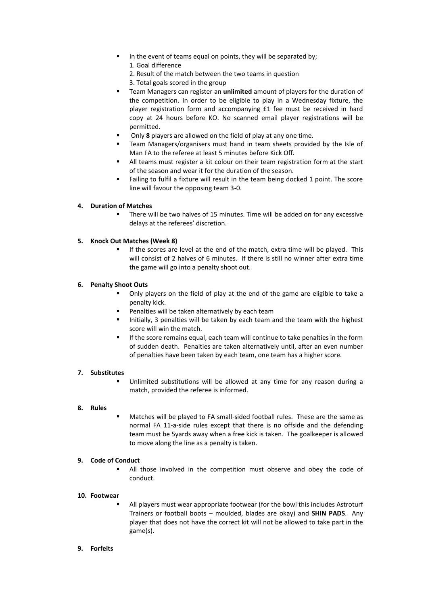- In the event of teams equal on points, they will be separated by; 1. Goal difference
	- 2. Result of the match between the two teams in question
	- 3. Total goals scored in the group
- Team Managers can register an **unlimited** amount of players for the duration of the competition. In order to be eligible to play in a Wednesday fixture, the player registration form and accompanying £1 fee must be received in hard copy at 24 hours before KO. No scanned email player registrations will be permitted.
- Only **8** players are allowed on the field of play at any one time.
- Team Managers/organisers must hand in team sheets provided by the Isle of Man FA to the referee at least 5 minutes before Kick Off.
- All teams must register a kit colour on their team registration form at the start of the season and wear it for the duration of the season.
- Failing to fulfil a fixture will result in the team being docked 1 point. The score line will favour the opposing team 3-0.

## **4. Duration of Matches**

There will be two halves of 15 minutes. Time will be added on for any excessive delays at the referees' discretion.

## **5. Knock Out Matches (Week 8)**

If the scores are level at the end of the match, extra time will be played. This will consist of 2 halves of 6 minutes. If there is still no winner after extra time the game will go into a penalty shoot out.

## **6. Penalty Shoot Outs**

- Only players on the field of play at the end of the game are eligible to take a penalty kick.
- Penalties will be taken alternatively by each team
- Initially, 3 penalties will be taken by each team and the team with the highest score will win the match.
- If the score remains equal, each team will continue to take penalties in the form of sudden death. Penalties are taken alternatively until, after an even number of penalties have been taken by each team, one team has a higher score.

#### **7. Substitutes**

Unlimited substitutions will be allowed at any time for any reason during a match, provided the referee is informed.

#### **8. Rules**

Matches will be played to FA small-sided football rules. These are the same as normal FA 11-a-side rules except that there is no offside and the defending team must be 5yards away when a free kick is taken. The goalkeeper is allowed to move along the line as a penalty is taken.

#### **9. Code of Conduct**

▪ All those involved in the competition must observe and obey the code of conduct.

#### **10. Footwear**

All players must wear appropriate footwear (for the bowl this includes Astroturf Trainers or football boots – moulded, blades are okay) and **SHIN PADS**. Any player that does not have the correct kit will not be allowed to take part in the game(s).

## **9. Forfeits**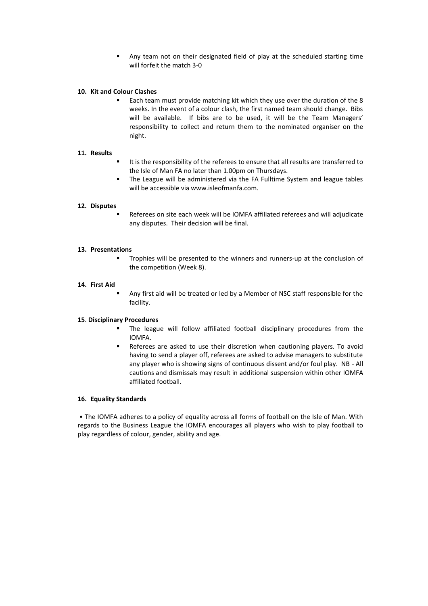■ Any team not on their designated field of play at the scheduled starting time will forfeit the match 3-0

#### **10. Kit and Colour Clashes**

Each team must provide matching kit which they use over the duration of the 8 weeks. In the event of a colour clash, the first named team should change. Bibs will be available. If bibs are to be used, it will be the Team Managers' responsibility to collect and return them to the nominated organiser on the night.

#### **11. Results**

- It is the responsibility of the referees to ensure that all results are transferred to the Isle of Man FA no later than 1.00pm on Thursdays.
- The League will be administered via the FA Fulltime System and league tables will be accessible via www.isleofmanfa.com.

#### **12. Disputes**

Referees on site each week will be IOMFA affiliated referees and will adjudicate any disputes. Their decision will be final.

#### **13. Presentations**

▪ Trophies will be presented to the winners and runners-up at the conclusion of the competition (Week 8).

#### **14. First Aid**

Any first aid will be treated or led by a Member of NSC staff responsible for the facility.

#### **15**. **Disciplinary Procedures**

- The league will follow affiliated football disciplinary procedures from the IOMFA.
- Referees are asked to use their discretion when cautioning players. To avoid having to send a player off, referees are asked to advise managers to substitute any player who is showing signs of continuous dissent and/or foul play. NB - All cautions and dismissals may result in additional suspension within other IOMFA affiliated football.

#### **16. Equality Standards**

• The IOMFA adheres to a policy of equality across all forms of football on the Isle of Man. With regards to the Business League the IOMFA encourages all players who wish to play football to play regardless of colour, gender, ability and age.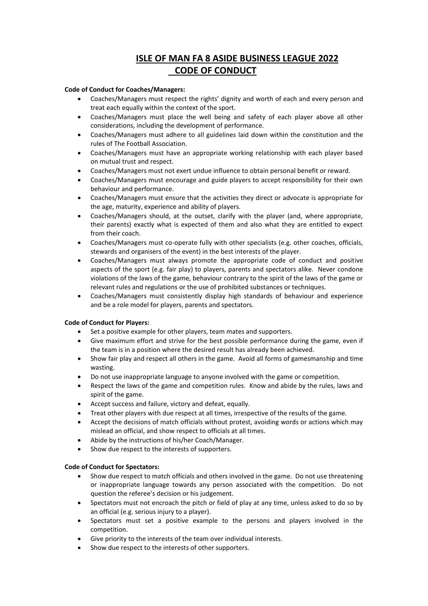# **ISLE OF MAN FA 8 ASIDE BUSINESS LEAGUE 2022 CODE OF CONDUCT**

### **Code of Conduct for Coaches/Managers:**

- Coaches/Managers must respect the rights' dignity and worth of each and every person and treat each equally within the context of the sport.
- Coaches/Managers must place the well being and safety of each player above all other considerations, including the development of performance.
- Coaches/Managers must adhere to all guidelines laid down within the constitution and the rules of The Football Association.
- Coaches/Managers must have an appropriate working relationship with each player based on mutual trust and respect.
- Coaches/Managers must not exert undue influence to obtain personal benefit or reward.
- Coaches/Managers must encourage and guide players to accept responsibility for their own behaviour and performance.
- Coaches/Managers must ensure that the activities they direct or advocate is appropriate for the age, maturity, experience and ability of players.
- Coaches/Managers should, at the outset, clarify with the player (and, where appropriate, their parents) exactly what is expected of them and also what they are entitled to expect from their coach.
- Coaches/Managers must co-operate fully with other specialists (e.g. other coaches, officials, stewards and organisers of the event) in the best interests of the player.
- Coaches/Managers must always promote the appropriate code of conduct and positive aspects of the sport (e.g. fair play) to players, parents and spectators alike. Never condone violations of the laws of the game, behaviour contrary to the spirit of the laws of the game or relevant rules and regulations or the use of prohibited substances or techniques.
- Coaches/Managers must consistently display high standards of behaviour and experience and be a role model for players, parents and spectators.

# **Code of Conduct for Players:**

- Set a positive example for other players, team mates and supporters.
- Give maximum effort and strive for the best possible performance during the game, even if the team is in a position where the desired result has already been achieved.
- Show fair play and respect all others in the game. Avoid all forms of gamesmanship and time wasting.
- Do not use inappropriate language to anyone involved with the game or competition.
- Respect the laws of the game and competition rules. Know and abide by the rules, laws and spirit of the game.
- Accept success and failure, victory and defeat, equally.
- Treat other players with due respect at all times, irrespective of the results of the game.
- Accept the decisions of match officials without protest, avoiding words or actions which may mislead an official, and show respect to officials at all times.
- Abide by the instructions of his/her Coach/Manager.
- Show due respect to the interests of supporters.

#### **Code of Conduct for Spectators:**

- Show due respect to match officials and others involved in the game. Do not use threatening or inappropriate language towards any person associated with the competition. Do not question the referee's decision or his judgement.
- Spectators must not encroach the pitch or field of play at any time, unless asked to do so by an official (e.g. serious injury to a player).
- Spectators must set a positive example to the persons and players involved in the competition.
- Give priority to the interests of the team over individual interests.
- Show due respect to the interests of other supporters.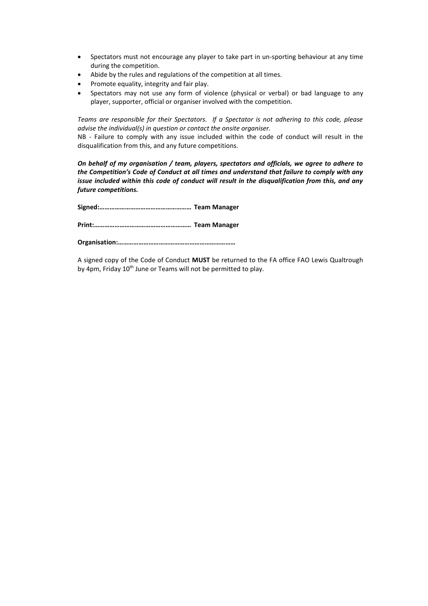- Spectators must not encourage any player to take part in un-sporting behaviour at any time during the competition.
- Abide by the rules and regulations of the competition at all times.
- Promote equality, integrity and fair play.
- Spectators may not use any form of violence (physical or verbal) or bad language to any player, supporter, official or organiser involved with the competition.

*Teams are responsible for their Spectators. If a Spectator is not adhering to this code, please advise the individual(s) in question or contact the onsite organiser.*

NB - Failure to comply with any issue included within the code of conduct will result in the disqualification from this, and any future competitions.

*On behalf of my organisation / team, players, spectators and officials, we agree to adhere to the Competition's Code of Conduct at all times and understand that failure to comply with any issue included within this code of conduct will result in the disqualification from this, and any future competitions.*

**Signed:……………………………………………… Team Manager**

**Print:………………………………………………… Team Manager**

**Organisation:……………………………………………………………**

A signed copy of the Code of Conduct **MUST** be returned to the FA office FAO Lewis Qualtrough by 4pm, Friday 10<sup>th</sup> June or Teams will not be permitted to play.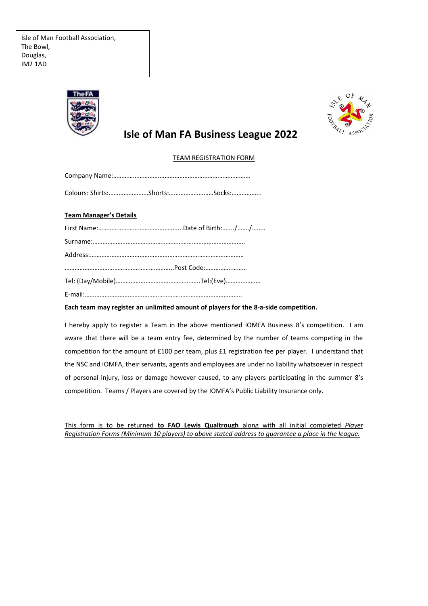

# **Isle of Man FA Business League 2022**

# TEAM REGISTRATION FORM

|                               | Colours: Shirts:Shorts:Socks: |
|-------------------------------|-------------------------------|
| <b>Team Manager's Details</b> |                               |
|                               |                               |
|                               |                               |
|                               |                               |
|                               |                               |
|                               |                               |
|                               |                               |

# **Each team may register an unlimited amount of players for the 8-a-side competition.**

I hereby apply to register a Team in the above mentioned IOMFA Business 8's competition. I am aware that there will be a team entry fee, determined by the number of teams competing in the competition for the amount of £100 per team, plus £1 registration fee per player. I understand that the NSC and IOMFA, their servants, agents and employees are under no liability whatsoever in respect of personal injury, loss or damage however caused, to any players participating in the summer 8's competition. Teams / Players are covered by the IOMFA's Public Liability Insurance only.

This form is to be returned **to FAO Lewis Qualtrough** along with all initial completed *Player Registration Forms (Minimum 10 players) to above stated address to guarantee a place in the league.*